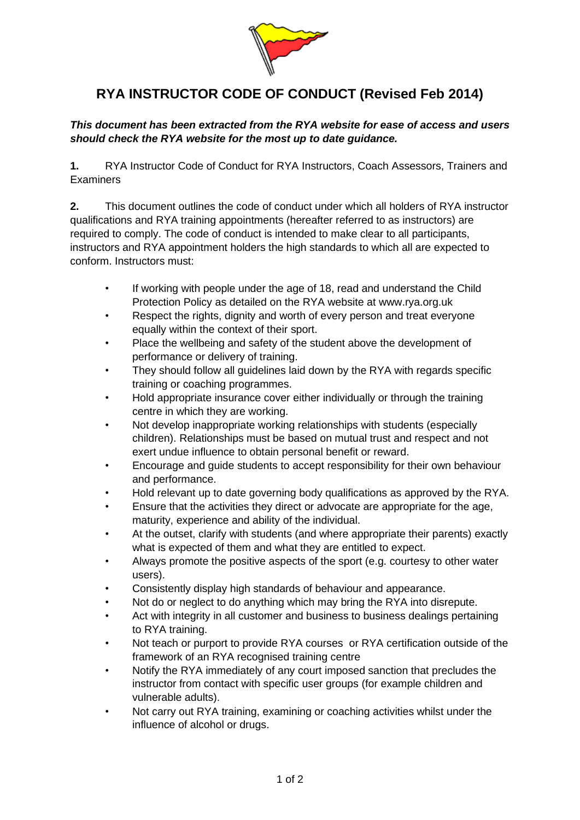

## **RYA INSTRUCTOR CODE OF CONDUCT (Revised Feb 2014)**

## *This document has been extracted from the RYA website for ease of access and users should check the RYA website for the most up to date guidance.*

**1.** RYA Instructor Code of Conduct for RYA Instructors, Coach Assessors, Trainers and Examiners

**2.** This document outlines the code of conduct under which all holders of RYA instructor qualifications and RYA training appointments (hereafter referred to as instructors) are required to comply. The code of conduct is intended to make clear to all participants, instructors and RYA appointment holders the high standards to which all are expected to conform. Instructors must:

- If working with people under the age of 18, read and understand the Child Protection Policy as detailed on the RYA website at www.rya.org.uk
- Respect the rights, dignity and worth of every person and treat everyone equally within the context of their sport.
- Place the wellbeing and safety of the student above the development of performance or delivery of training.
- They should follow all guidelines laid down by the RYA with regards specific training or coaching programmes.
- Hold appropriate insurance cover either individually or through the training centre in which they are working.
- Not develop inappropriate working relationships with students (especially children). Relationships must be based on mutual trust and respect and not exert undue influence to obtain personal benefit or reward.
- Encourage and guide students to accept responsibility for their own behaviour and performance.
- Hold relevant up to date governing body qualifications as approved by the RYA.
- Ensure that the activities they direct or advocate are appropriate for the age, maturity, experience and ability of the individual.
- At the outset, clarify with students (and where appropriate their parents) exactly what is expected of them and what they are entitled to expect.
- Always promote the positive aspects of the sport (e.g. courtesy to other water users).
- Consistently display high standards of behaviour and appearance.
- Not do or neglect to do anything which may bring the RYA into disrepute.
- Act with integrity in all customer and business to business dealings pertaining to RYA training.
- Not teach or purport to provide RYA courses or RYA certification outside of the framework of an RYA recognised training centre
- Notify the RYA immediately of any court imposed sanction that precludes the instructor from contact with specific user groups (for example children and vulnerable adults).
- Not carry out RYA training, examining or coaching activities whilst under the influence of alcohol or drugs.